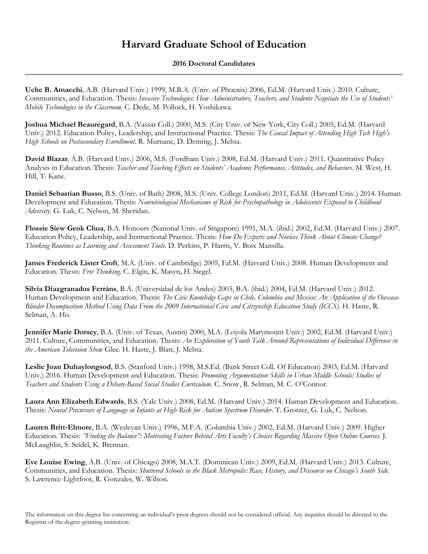## **Harvard Graduate School of Education**

## **2016 Doctoral Candidates**

**Uche B. Amaechi**, A.B. (Harvard Univ.) 1999, M.B.A. (Univ. of Phoenix) 2006, Ed.M. (Harvard Univ.) 2010. Culture, Communities, and Education. Thesis: *Invasive Technologies: How Administrators, Teachers, and Students Negotiate the Use of Students' Mobile Technologies in the Classroom*. C. Dede, M. Pollock, H. Yoshikawa.

**Joshua Michael Beauregard**, B.A. (Vassar Coll.) 2000, M.S. (City Univ. of New York, City Coll.) 2005, Ed.M. (Harvard Univ.) 2012. Education Policy, Leadership, and Instructional Practice. Thesis: *The Causal Impact of Attending High Tech High's High Schools on Postsecondary Enrollment.* R. Murnane, D. Deming, J. Mehta.

**David Blazar**, A.B. (Harvard Univ.) 2006, M.S. (Fordham Univ.) 2008, Ed.M. (Harvard Univ.) 2011. Quantitative Policy Analysis in Education. Thesis: *Teacher and Teaching Effects on Students' Academic Performance, Attitudes, and Behaviors*. M. West, H. Hill, T. Kane.

**Daniel Sebastian Busso**, B.S. (Univ. of Bath) 2008, M.S. (Univ. College London) 2011, Ed.M. (Harvard Univ.) 2014. Human Development and Education. Thesis: *Neurobiological Mechanisms of Risk for Psychopathology in Adolescents Exposed to Childhood Adversity*. G. Luk, C. Nelson, M. Sheridan.

**Flossie Siew Geok Chua**, B.A. Honours (National Univ. of Singapore) 1991, M.A. (ibid.) 2002, Ed.M. (Harvard Univ.) 2007. Education Policy, Leadership, and Instructional Practice. Thesis: *How Do Experts and Novices Think About Climate Change? Thinking Routines as Learning and Assessment Tools*. D. Perkins, P. Harris, V. Boix Mansilla.

**James Frederick Lister Croft**, M.A. (Univ. of Cambridge) 2005, Ed.M. (Harvard Univ.) 2008. Human Development and Education. Thesis: *Free Thinking*. C. Elgin, K. Masyn, H. Siegel.

**Silvia Diazgranados Ferráns**, B.A. (Universidad de los Andes) 2003, B.A. (ibid.) 2004, Ed.M. (Harvard Univ.) 2012. Human Development and Education. Thesis: *The Civic Knowledge Gaps in Chile, Colombia and Mexico: An Application of the Oaxaca-Blinder Decomposition Method Using Data From the 2009 International Civic and Citizenship Education Study (ICCS)*. H. Haste, R. Selman, A. Ho.

**Jennifer Marie Dorsey**, B.A. (Univ. of Texas, Austin) 2000, M.A. (Loyola Marymount Univ.) 2002, Ed.M. (Harvard Univ.) 2011. Culture, Communities, and Education. Thesis: *An Exploration of Youth Talk Around Representations of Individual Difference in the American Television Show* Glee. H. Haste, J. Blatt, J. Mehta.

**Leslie Joan Duhaylongsod**, B.S. (Stanford Univ.) 1998, M.S.Ed. (Bank Street Coll. Of Education) 2003, Ed.M. (Harvard Univ.) 2016. Human Development and Education. Thesis: *Promoting Argumentation Skills in Urban Middle Schools: Studies of Teachers and Students Using a Debate-Based Social Studies Curriculum*. C. Snow, R. Selman, M. C. O'Connor.

**Laura Ann Elizabeth Edwards**, B.S. (Yale Univ.) 2008, Ed.M. (Harvard Univ.) 2014. Human Development and Education. Thesis: *Neural Precursors of Language in Infants at High Risk for Autism Spectrum Disorder*. T. Grotzer, G. Luk, C. Nelson.

**Lauren Britt-Elmore**, B.A. (Wesleyan Univ.) 1996, M.F.A. (Columbia Univ.) 2002, Ed.M. (Harvard Univ.) 2009. Higher Education. Thesis: *"Finding the Balance": Motivating Factors Behind Arts Faculty's Choices Regarding Massive Open Online Courses*. J. McLaughlin, S. Seidel, K. Brennan.

**Eve Louise Ewing**, A.B. (Univ. of Chicago) 2008, M.A.T. (Dominican Univ.) 2009, Ed.M. (Harvard Univ.) 2013. Culture, Communities, and Education. Thesis: *Shuttered Schools in the Black Metropolis: Race, History, and Discourse on Chicago's South Side.* S. Lawrence-Lightfoot, R. Gonzales, W. Wilson.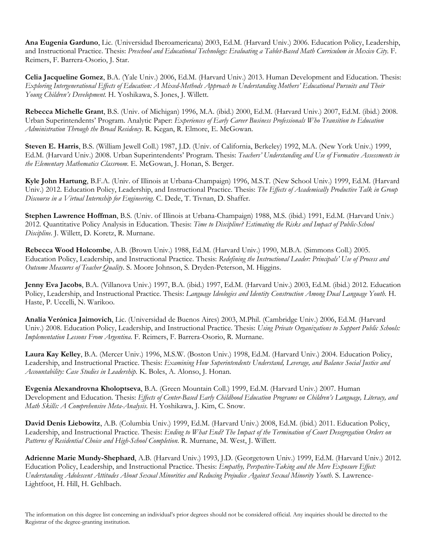**Ana Eugenia Garduno**, Lic. (Universidad Iberoamericana) 2003, Ed.M. (Harvard Univ.) 2006. Education Policy, Leadership, and Instructional Practice. Thesis: *Preschool and Educational Technology: Evaluating a Tablet-Based Math Curriculum in Mexico City*. F. Reimers, F. Barrera-Osorio, J. Star.

**Celia Jacqueline Gomez**, B.A. (Yale Univ.) 2006, Ed.M. (Harvard Univ.) 2013. Human Development and Education. Thesis: *Exploring Intergenerational Effects of Education: A Mixed-Methods Approach to Understanding Mothers' Educational Pursuits and Their Young Children's Development*. H. Yoshikawa, S. Jones, J. Willett.

**Rebecca Michelle Grant**, B.S. (Univ. of Michigan) 1996, M.A. (ibid.) 2000, Ed.M. (Harvard Univ.) 2007, Ed.M. (ibid.) 2008. Urban Superintendents' Program. Analytic Paper: *Experiences of Early Career Business Professionals Who Transition to Education Administration Through the Broad Residency*. R. Kegan, R. Elmore, E. McGowan.

**Steven E. Harris**, B.S. (William Jewell Coll.) 1987, J.D. (Univ. of California, Berkeley) 1992, M.A. (New York Univ.) 1999, Ed.M. (Harvard Univ.) 2008. Urban Superintendents' Program. Thesis: *Teachers' Understanding and Use of Formative Assessments in the Elementary Mathematics Classroom*. E. McGowan, J. Honan, S. Berger.

**Kyle John Hartung**, B.F.A. (Univ. of Illinois at Urbana-Champaign) 1996, M.S.T. (New School Univ.) 1999, Ed.M. (Harvard Univ.) 2012. Education Policy, Leadership, and Instructional Practice. Thesis: *The Effects of Academically Productive Talk in Group Discourse in a Virtual Internship for Engineering*. C. Dede, T. Tivnan, D. Shaffer.

**Stephen Lawrence Hoffman**, B.S. (Univ. of Illinois at Urbana-Champaign) 1988, M.S. (ibid.) 1991, Ed.M. (Harvard Univ.) 2012. Quantitative Policy Analysis in Education. Thesis: *Time to Discipline? Estimating the Risks and Impact of Public-School Discipline*. J. Willett, D. Koretz, R. Murnane.

**Rebecca Wood Holcombe**, A.B. (Brown Univ.) 1988, Ed.M. (Harvard Univ.) 1990, M.B.A. (Simmons Coll.) 2005. Education Policy, Leadership, and Instructional Practice. Thesis: *Redefining the Instructional Leader: Principals' Use of Process and Outcome Measures of Teacher Quality*. S. Moore Johnson, S. Dryden-Peterson, M. Higgins.

**Jenny Eva Jacobs**, B.A. (Villanova Univ.) 1997, B.A. (ibid.) 1997, Ed.M. (Harvard Univ.) 2003, Ed.M. (ibid.) 2012. Education Policy, Leadership, and Instructional Practice. Thesis: *Language Ideologies and Identity Construction Among Dual Language Youth.* H. Haste, P. Uccelli, N. Warikoo.

**Analía Verónica Jaimovich**, Lic. (Universidad de Buenos Aires) 2003, M.Phil. (Cambridge Univ.) 2006, Ed.M. (Harvard Univ.) 2008. Education Policy, Leadership, and Instructional Practice. Thesis: *Using Private Organizations to Support Public Schools: Implementation Lessons From Argentina*. F. Reimers, F. Barrera-Osorio, R. Murnane.

**Laura Kay Kelley**, B.A. (Mercer Univ.) 1996, M.S.W. (Boston Univ.) 1998, Ed.M. (Harvard Univ.) 2004. Education Policy, Leadership, and Instructional Practice. Thesis: *Examining How Superintendents Understand, Leverage, and Balance Social Justice and Accountability: Case Studies in Leadership*. K. Boles, A. Alonso, J. Honan.

**Evgenia Alexandrovna Kholoptseva**, B.A. (Green Mountain Coll.) 1999, Ed.M. (Harvard Univ.) 2007. Human Development and Education. Thesis: *Effects of Center-Based Early Childhood Education Programs on Children's Language, Literacy, and Math Skills: A Comprehensive Meta-Analysis*. H. Yoshikawa, J. Kim, C. Snow.

**David Denis Liebowitz**, A.B. (Columbia Univ.) 1999, Ed.M. (Harvard Univ.) 2008, Ed.M. (ibid.) 2011. Education Policy, Leadership, and Instructional Practice. Thesis: *Ending to What End? The Impact of the Termination of Court Desegregation Orders on Patterns of Residential Choice and High-School Completion*. R. Murnane, M. West, J. Willett.

**Adrienne Marie Mundy-Shephard**, A.B. (Harvard Univ.) 1993, J.D. (Georgetown Univ.) 1999, Ed.M. (Harvard Univ.) 2012. Education Policy, Leadership, and Instructional Practice. Thesis: *Empathy, Perspective-Taking and the Mere Exposure Effect: Understanding Adolescent Attitudes About Sexual Minorities and Reducing Prejudice Against Sexual Minority Youth*. S. Lawrence-Lightfoot, H. Hill, H. Gehlbach.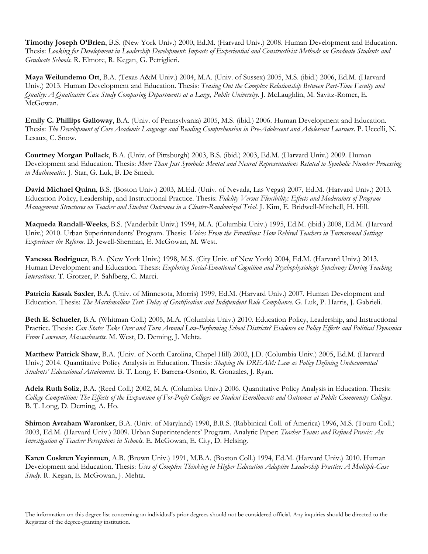**Timothy Joseph O'Brien**, B.S. (New York Univ.) 2000, Ed.M. (Harvard Univ.) 2008. Human Development and Education. Thesis: *Looking for Development in Leadership Development: Impacts of Experiential and Constructivist Methods on Graduate Students and Graduate Schools*. R. Elmore, R. Kegan, G. Petriglieri.

**Maya Weilundemo Ott**, B.A. (Texas A&M Univ.) 2004, M.A. (Univ. of Sussex) 2005, M.S. (ibid.) 2006, Ed.M. (Harvard Univ.) 2013. Human Development and Education. Thesis: *Teasing Out the Complex Relationship Between Part-Time Faculty and Quality: A Qualitative Case Study Comparing Departments at a Large, Public University*. J. McLaughlin, M. Savitz-Romer, E. McGowan.

**Emily C. Phillips Galloway**, B.A. (Univ. of Pennsylvania) 2005, M.S. (ibid.) 2006. Human Development and Education. Thesis: *The Development of Core Academic Language and Reading Comprehension in Pre-Adolescent and Adolescent Learners*. P. Uccelli, N. Lesaux, C. Snow.

**Courtney Morgan Pollack**, B.A. (Univ. of Pittsburgh) 2003, B.S. (ibid.) 2003, Ed.M. (Harvard Univ.) 2009. Human Development and Education. Thesis: *More Than Just Symbols: Mental and Neural Representations Related to Symbolic Number Processing in Mathematics*. J. Star, G. Luk, B. De Smedt.

**David Michael Quinn**, B.S. (Boston Univ.) 2003, M.Ed. (Univ. of Nevada, Las Vegas) 2007, Ed.M. (Harvard Univ.) 2013. Education Policy, Leadership, and Instructional Practice. Thesis: *Fidelity Versus Flexibility: Effects and Moderators of Program Management Structures on Teacher and Student Outcomes in a Cluster-Randomized Trial*. J. Kim, E. Bridwell-Mitchell, H. Hill.

**Maqueda Randall-Weeks**, B.S. (Vanderbilt Univ.) 1994, M.A. (Columbia Univ.) 1995, Ed.M. (ibid.) 2008, Ed.M. (Harvard Univ.) 2010. Urban Superintendents' Program. Thesis: *Voices From the Frontlines: How Rehired Teachers in Turnaround Settings Experience the Reform*. D. Jewell-Sherman, E. McGowan, M. West.

**Vanessa Rodriguez**, B.A. (New York Univ.) 1998, M.S. (City Univ. of New York) 2004, Ed.M. (Harvard Univ.) 2013. Human Development and Education. Thesis: *Exploring Social-Emotional Cognition and Psychophysiologic Synchrony During Teaching Interactions*. T. Grotzer, P. Sahlberg, C. Marci.

**Patricia Kasak Saxler**, B.A. (Univ. of Minnesota, Morris) 1999, Ed.M. (Harvard Univ.) 2007. Human Development and Education. Thesis: *The Marshmallow Test: Delay of Gratification and Independent Rule Compliance*. G. Luk, P. Harris, J. Gabrieli.

**Beth E. Schueler**, B.A. (Whitman Coll.) 2005, M.A. (Columbia Univ.) 2010. Education Policy, Leadership, and Instructional Practice. Thesis: *Can States Take Over and Turn Around Low-Performing School Districts? Evidence on Policy Effects and Political Dynamics From Lawrence, Massachusetts*. M. West, D. Deming, J. Mehta.

**Matthew Patrick Shaw**, B.A. (Univ. of North Carolina, Chapel Hill) 2002, J.D. (Columbia Univ.) 2005, Ed.M. (Harvard Univ.) 2014. Quantitative Policy Analysis in Education. Thesis: *Shaping the DREAM: Law as Policy Defining Undocumented Students' Educational Attainment*. B. T. Long, F. Barrera-Osorio, R. Gonzales, J. Ryan.

**Adela Ruth Soliz**, B.A. (Reed Coll.) 2002, M.A. (Columbia Univ.) 2006. Quantitative Policy Analysis in Education. Thesis: *College Competition: The Effects of the Expansion of For-Profit Colleges on Student Enrollments and Outcomes at Public Community Colleges*. B. T. Long, D. Deming, A. Ho.

**Shimon Avraham Waronker**, B.A. (Univ. of Maryland) 1990, B.R.S. (Rabbinical Coll. of America) 1996, M.S. (Touro Coll.) 2003, Ed.M. (Harvard Univ.) 2009. Urban Superintendents' Program. Analytic Paper: *Teacher Teams and Refined Praxis: An Investigation of Teacher Perceptions in Schools*. E. McGowan, E. City, D. Helsing.

**Karen Coskren Yeyinmen**, A.B. (Brown Univ.) 1991, M.B.A. (Boston Coll.) 1994, Ed.M. (Harvard Univ.) 2010. Human Development and Education. Thesis: *Uses of Complex Thinking in Higher Education Adaptive Leadership Practice: A Multiple-Case Study*. R. Kegan, E. McGowan, J. Mehta.